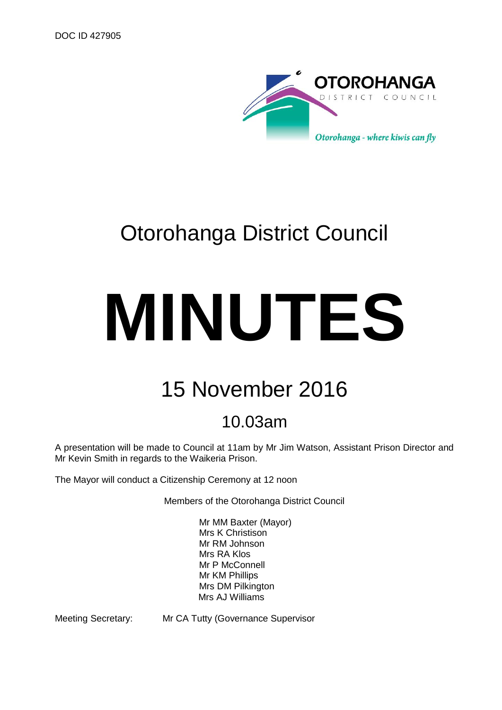

# Otorohanga District Council

# **MINUTES**

# 15 November 2016

# 10.03am

A presentation will be made to Council at 11am by Mr Jim Watson, Assistant Prison Director and Mr Kevin Smith in regards to the Waikeria Prison.

The Mayor will conduct a Citizenship Ceremony at 12 noon

Members of the Otorohanga District Council

Mr MM Baxter (Mayor) Mrs K Christison Mr RM Johnson Mrs RA Klos Mr P McConnell Mr KM Phillips Mrs DM Pilkington Mrs AJ Williams

Meeting Secretary: Mr CA Tutty (Governance Supervisor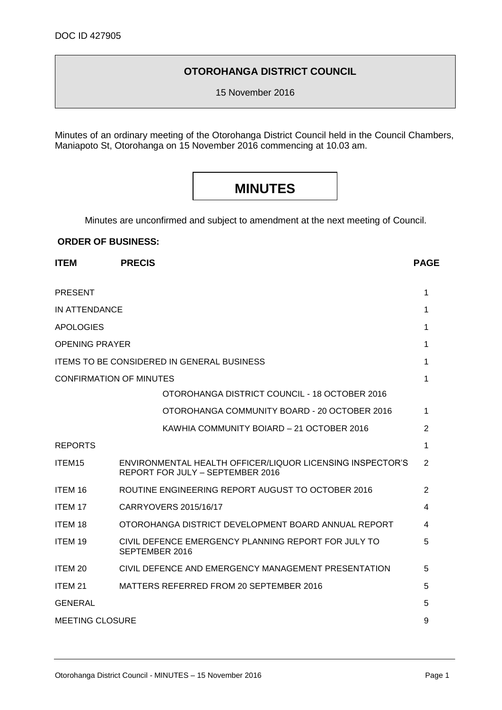# **OTOROHANGA DISTRICT COUNCIL**

15 November 2016

Minutes of an ordinary meeting of the Otorohanga District Council held in the Council Chambers, Maniapoto St, Otorohanga on 15 November 2016 commencing at 10.03 am.

# **MINUTES**

Minutes are unconfirmed and subject to amendment at the next meeting of Council.

# **ORDER OF BUSINESS:**

| <b>ITEM</b>                    | <b>PRECIS</b>                                                                                 | <b>PAGE</b>    |
|--------------------------------|-----------------------------------------------------------------------------------------------|----------------|
| <b>PRESENT</b>                 |                                                                                               | 1              |
| IN ATTENDANCE                  |                                                                                               | 1              |
| <b>APOLOGIES</b>               |                                                                                               | 1              |
| <b>OPENING PRAYER</b>          |                                                                                               | 1              |
|                                | <b>ITEMS TO BE CONSIDERED IN GENERAL BUSINESS</b>                                             | 1              |
| <b>CONFIRMATION OF MINUTES</b> |                                                                                               | 1              |
|                                | OTOROHANGA DISTRICT COUNCIL - 18 OCTOBER 2016                                                 |                |
|                                | OTOROHANGA COMMUNITY BOARD - 20 OCTOBER 2016                                                  | 1              |
|                                | KAWHIA COMMUNITY BOIARD - 21 OCTOBER 2016                                                     | 2              |
| <b>REPORTS</b>                 |                                                                                               | 1              |
| ITEM <sub>15</sub>             | ENVIRONMENTAL HEALTH OFFICER/LIQUOR LICENSING INSPECTOR'S<br>REPORT FOR JULY - SEPTEMBER 2016 | $\overline{2}$ |
| ITEM 16                        | ROUTINE ENGINEERING REPORT AUGUST TO OCTOBER 2016                                             | 2              |
| <b>ITEM 17</b>                 | CARRYOVERS 2015/16/17                                                                         | 4              |
| <b>ITEM 18</b>                 | OTOROHANGA DISTRICT DEVELOPMENT BOARD ANNUAL REPORT                                           | 4              |
| <b>ITEM 19</b>                 | CIVIL DEFENCE EMERGENCY PLANNING REPORT FOR JULY TO<br>SEPTEMBER 2016                         | 5              |
| ITEM 20                        | CIVIL DEFENCE AND EMERGENCY MANAGEMENT PRESENTATION                                           | 5              |
| ITEM <sub>21</sub>             | MATTERS REFERRED FROM 20 SEPTEMBER 2016                                                       | 5              |
| <b>GENERAL</b>                 |                                                                                               | 5              |
| <b>MEETING CLOSURE</b>         |                                                                                               | 9              |
|                                |                                                                                               |                |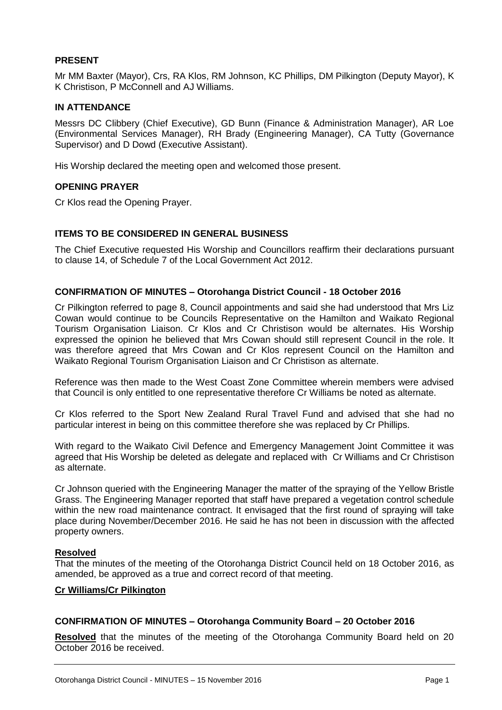# **PRESENT**

Mr MM Baxter (Mayor), Crs, RA Klos, RM Johnson, KC Phillips, DM Pilkington (Deputy Mayor), K K Christison, P McConnell and AJ Williams.

# **IN ATTENDANCE**

Messrs DC Clibbery (Chief Executive), GD Bunn (Finance & Administration Manager), AR Loe (Environmental Services Manager), RH Brady (Engineering Manager), CA Tutty (Governance Supervisor) and D Dowd (Executive Assistant).

His Worship declared the meeting open and welcomed those present.

# **OPENING PRAYER**

Cr Klos read the Opening Prayer.

# **ITEMS TO BE CONSIDERED IN GENERAL BUSINESS**

The Chief Executive requested His Worship and Councillors reaffirm their declarations pursuant to clause 14, of Schedule 7 of the Local Government Act 2012.

# **CONFIRMATION OF MINUTES – Otorohanga District Council - 18 October 2016**

Cr Pilkington referred to page 8, Council appointments and said she had understood that Mrs Liz Cowan would continue to be Councils Representative on the Hamilton and Waikato Regional Tourism Organisation Liaison. Cr Klos and Cr Christison would be alternates. His Worship expressed the opinion he believed that Mrs Cowan should still represent Council in the role. It was therefore agreed that Mrs Cowan and Cr Klos represent Council on the Hamilton and Waikato Regional Tourism Organisation Liaison and Cr Christison as alternate.

Reference was then made to the West Coast Zone Committee wherein members were advised that Council is only entitled to one representative therefore Cr Williams be noted as alternate.

Cr Klos referred to the Sport New Zealand Rural Travel Fund and advised that she had no particular interest in being on this committee therefore she was replaced by Cr Phillips.

With regard to the Waikato Civil Defence and Emergency Management Joint Committee it was agreed that His Worship be deleted as delegate and replaced with Cr Williams and Cr Christison as alternate.

Cr Johnson queried with the Engineering Manager the matter of the spraying of the Yellow Bristle Grass. The Engineering Manager reported that staff have prepared a vegetation control schedule within the new road maintenance contract. It envisaged that the first round of spraying will take place during November/December 2016. He said he has not been in discussion with the affected property owners.

# **Resolved**

That the minutes of the meeting of the Otorohanga District Council held on 18 October 2016, as amended, be approved as a true and correct record of that meeting.

# **Cr Williams/Cr Pilkington**

# **CONFIRMATION OF MINUTES – Otorohanga Community Board – 20 October 2016**

**Resolved** that the minutes of the meeting of the Otorohanga Community Board held on 20 October 2016 be received.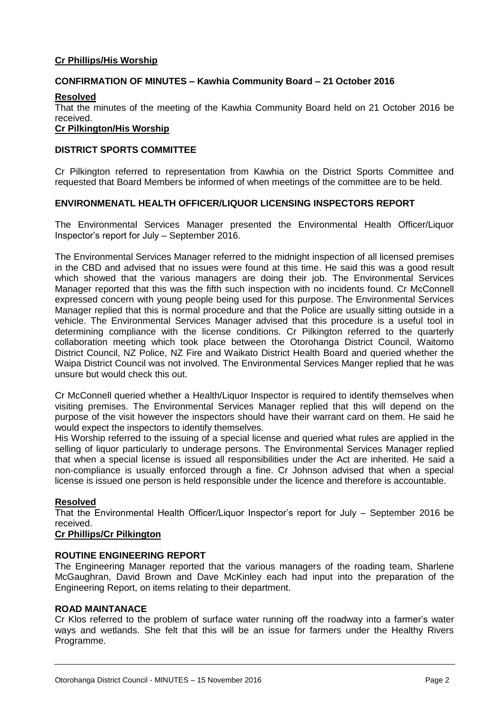# **Cr Phillips/His Worship**

# **CONFIRMATION OF MINUTES – Kawhia Community Board – 21 October 2016**

# **Resolved**

That the minutes of the meeting of the Kawhia Community Board held on 21 October 2016 be received.

# **Cr Pilkington/His Worship**

# **DISTRICT SPORTS COMMITTEE**

Cr Pilkington referred to representation from Kawhia on the District Sports Committee and requested that Board Members be informed of when meetings of the committee are to be held.

# **ENVIRONMENATL HEALTH OFFICER/LIQUOR LICENSING INSPECTORS REPORT**

The Environmental Services Manager presented the Environmental Health Officer/Liquor Inspector's report for July – September 2016.

The Environmental Services Manager referred to the midnight inspection of all licensed premises in the CBD and advised that no issues were found at this time. He said this was a good result which showed that the various managers are doing their job. The Environmental Services Manager reported that this was the fifth such inspection with no incidents found. Cr McConnell expressed concern with young people being used for this purpose. The Environmental Services Manager replied that this is normal procedure and that the Police are usually sitting outside in a vehicle. The Environmental Services Manager advised that this procedure is a useful tool in determining compliance with the license conditions. Cr Pilkington referred to the quarterly collaboration meeting which took place between the Otorohanga District Council, Waitomo District Council, NZ Police, NZ Fire and Waikato District Health Board and queried whether the Waipa District Council was not involved. The Environmental Services Manger replied that he was unsure but would check this out.

Cr McConnell queried whether a Health/Liquor Inspector is required to identify themselves when visiting premises. The Environmental Services Manager replied that this will depend on the purpose of the visit however the inspectors should have their warrant card on them. He said he would expect the inspectors to identify themselves.

His Worship referred to the issuing of a special license and queried what rules are applied in the selling of liquor particularly to underage persons. The Environmental Services Manager replied that when a special license is issued all responsibilities under the Act are inherited. He said a non-compliance is usually enforced through a fine. Cr Johnson advised that when a special license is issued one person is held responsible under the licence and therefore is accountable.

# **Resolved**

That the Environmental Health Officer/Liquor Inspector's report for July – September 2016 be received.

# **Cr Phillips/Cr Pilkington**

# **ROUTINE ENGINEERING REPORT**

The Engineering Manager reported that the various managers of the roading team, Sharlene McGaughran, David Brown and Dave McKinley each had input into the preparation of the Engineering Report, on items relating to their department.

# **ROAD MAINTANACE**

Cr Klos referred to the problem of surface water running off the roadway into a farmer's water ways and wetlands. She felt that this will be an issue for farmers under the Healthy Rivers Programme.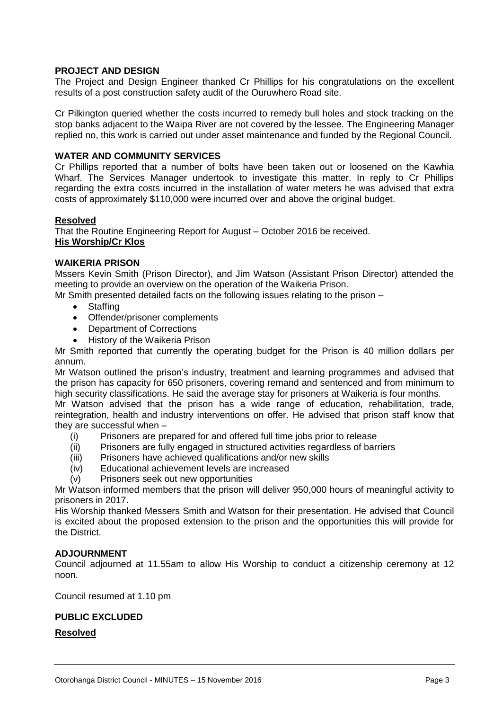# **PROJECT AND DESIGN**

The Project and Design Engineer thanked Cr Phillips for his congratulations on the excellent results of a post construction safety audit of the Ouruwhero Road site.

Cr Pilkington queried whether the costs incurred to remedy bull holes and stock tracking on the stop banks adjacent to the Waipa River are not covered by the lessee. The Engineering Manager replied no, this work is carried out under asset maintenance and funded by the Regional Council.

# **WATER AND COMMUNITY SERVICES**

Cr Phillips reported that a number of bolts have been taken out or loosened on the Kawhia Wharf. The Services Manager undertook to investigate this matter. In reply to Cr Phillips regarding the extra costs incurred in the installation of water meters he was advised that extra costs of approximately \$110,000 were incurred over and above the original budget.

# **Resolved**

That the Routine Engineering Report for August – October 2016 be received. **His Worship/Cr Klos**

# **WAIKERIA PRISON**

Mssers Kevin Smith (Prison Director), and Jim Watson (Assistant Prison Director) attended the meeting to provide an overview on the operation of the Waikeria Prison.

Mr Smith presented detailed facts on the following issues relating to the prison –

- Staffing
- Offender/prisoner complements
- Department of Corrections
- History of the Waikeria Prison

Mr Smith reported that currently the operating budget for the Prison is 40 million dollars per annum.

Mr Watson outlined the prison's industry, treatment and learning programmes and advised that the prison has capacity for 650 prisoners, covering remand and sentenced and from minimum to high security classifications. He said the average stay for prisoners at Waikeria is four months.

Mr Watson advised that the prison has a wide range of education, rehabilitation, trade, reintegration, health and industry interventions on offer. He advised that prison staff know that they are successful when –

- (i) Prisoners are prepared for and offered full time jobs prior to release
- (ii) Prisoners are fully engaged in structured activities regardless of barriers
- (iii) Prisoners have achieved qualifications and/or new skills
- (iv) Educational achievement levels are increased
- (v) Prisoners seek out new opportunities

Mr Watson informed members that the prison will deliver 950,000 hours of meaningful activity to prisoners in 2017.

His Worship thanked Messers Smith and Watson for their presentation. He advised that Council is excited about the proposed extension to the prison and the opportunities this will provide for the District.

# **ADJOURNMENT**

Council adjourned at 11.55am to allow His Worship to conduct a citizenship ceremony at 12 noon.

Council resumed at 1.10 pm

# **PUBLIC EXCLUDED**

# **Resolved**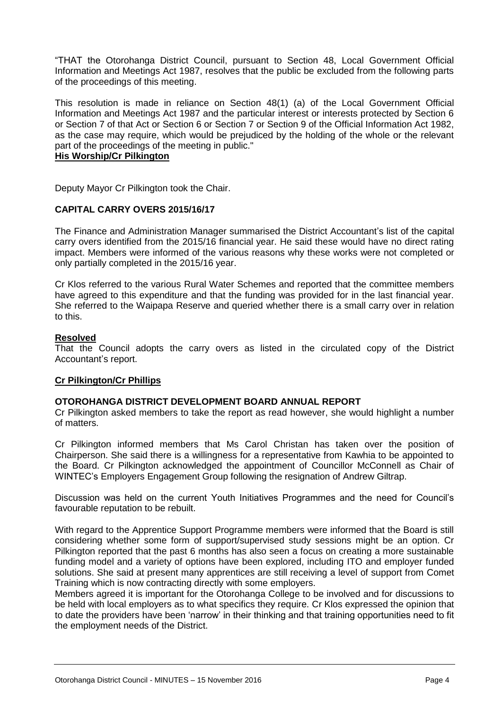"THAT the Otorohanga District Council, pursuant to Section 48, Local Government Official Information and Meetings Act 1987, resolves that the public be excluded from the following parts of the proceedings of this meeting.

This resolution is made in reliance on Section 48(1) (a) of the Local Government Official Information and Meetings Act 1987 and the particular interest or interests protected by Section 6 or Section 7 of that Act or Section 6 or Section 7 or Section 9 of the Official Information Act 1982, as the case may require, which would be prejudiced by the holding of the whole or the relevant part of the proceedings of the meeting in public."

# **His Worship/Cr Pilkington**

Deputy Mayor Cr Pilkington took the Chair.

# **CAPITAL CARRY OVERS 2015/16/17**

The Finance and Administration Manager summarised the District Accountant's list of the capital carry overs identified from the 2015/16 financial year. He said these would have no direct rating impact. Members were informed of the various reasons why these works were not completed or only partially completed in the 2015/16 year.

Cr Klos referred to the various Rural Water Schemes and reported that the committee members have agreed to this expenditure and that the funding was provided for in the last financial year. She referred to the Waipapa Reserve and queried whether there is a small carry over in relation to this.

# **Resolved**

That the Council adopts the carry overs as listed in the circulated copy of the District Accountant's report.

# **Cr Pilkington/Cr Phillips**

# **OTOROHANGA DISTRICT DEVELOPMENT BOARD ANNUAL REPORT**

Cr Pilkington asked members to take the report as read however, she would highlight a number of matters.

Cr Pilkington informed members that Ms Carol Christan has taken over the position of Chairperson. She said there is a willingness for a representative from Kawhia to be appointed to the Board. Cr Pilkington acknowledged the appointment of Councillor McConnell as Chair of WINTEC's Employers Engagement Group following the resignation of Andrew Giltrap.

Discussion was held on the current Youth Initiatives Programmes and the need for Council's favourable reputation to be rebuilt.

With regard to the Apprentice Support Programme members were informed that the Board is still considering whether some form of support/supervised study sessions might be an option. Cr Pilkington reported that the past 6 months has also seen a focus on creating a more sustainable funding model and a variety of options have been explored, including ITO and employer funded solutions. She said at present many apprentices are still receiving a level of support from Comet Training which is now contracting directly with some employers.

Members agreed it is important for the Otorohanga College to be involved and for discussions to be held with local employers as to what specifics they require. Cr Klos expressed the opinion that to date the providers have been 'narrow' in their thinking and that training opportunities need to fit the employment needs of the District.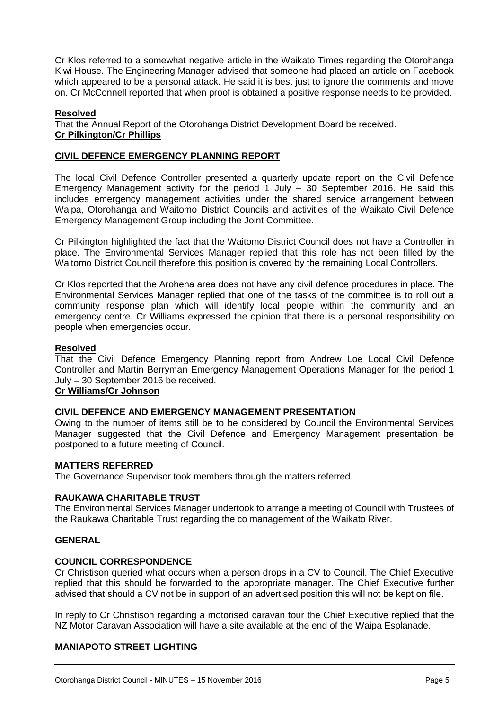Cr Klos referred to a somewhat negative article in the Waikato Times regarding the Otorohanga Kiwi House. The Engineering Manager advised that someone had placed an article on Facebook which appeared to be a personal attack. He said it is best just to janore the comments and move on. Cr McConnell reported that when proof is obtained a positive response needs to be provided.

# **Resolved**

That the Annual Report of the Otorohanga District Development Board be received. **Cr Pilkington/Cr Phillips**

# **CIVIL DEFENCE EMERGENCY PLANNING REPORT**

The local Civil Defence Controller presented a quarterly update report on the Civil Defence Emergency Management activity for the period 1 July – 30 September 2016. He said this includes emergency management activities under the shared service arrangement between Waipa, Otorohanga and Waitomo District Councils and activities of the Waikato Civil Defence Emergency Management Group including the Joint Committee.

Cr Pilkington highlighted the fact that the Waitomo District Council does not have a Controller in place. The Environmental Services Manager replied that this role has not been filled by the Waitomo District Council therefore this position is covered by the remaining Local Controllers.

Cr Klos reported that the Arohena area does not have any civil defence procedures in place. The Environmental Services Manager replied that one of the tasks of the committee is to roll out a community response plan which will identify local people within the community and an emergency centre. Cr Williams expressed the opinion that there is a personal responsibility on people when emergencies occur.

# **Resolved**

That the Civil Defence Emergency Planning report from Andrew Loe Local Civil Defence Controller and Martin Berryman Emergency Management Operations Manager for the period 1 July – 30 September 2016 be received.

# **Cr Williams/Cr Johnson**

# **CIVIL DEFENCE AND EMERGENCY MANAGEMENT PRESENTATION**

Owing to the number of items still be to be considered by Council the Environmental Services Manager suggested that the Civil Defence and Emergency Management presentation be postponed to a future meeting of Council.

# **MATTERS REFERRED**

The Governance Supervisor took members through the matters referred.

# **RAUKAWA CHARITABLE TRUST**

The Environmental Services Manager undertook to arrange a meeting of Council with Trustees of the Raukawa Charitable Trust regarding the co management of the Waikato River.

# **GENERAL**

# **COUNCIL CORRESPONDENCE**

Cr Christison queried what occurs when a person drops in a CV to Council. The Chief Executive replied that this should be forwarded to the appropriate manager. The Chief Executive further advised that should a CV not be in support of an advertised position this will not be kept on file.

In reply to Cr Christison regarding a motorised caravan tour the Chief Executive replied that the NZ Motor Caravan Association will have a site available at the end of the Waipa Esplanade.

# **MANIAPOTO STREET LIGHTING**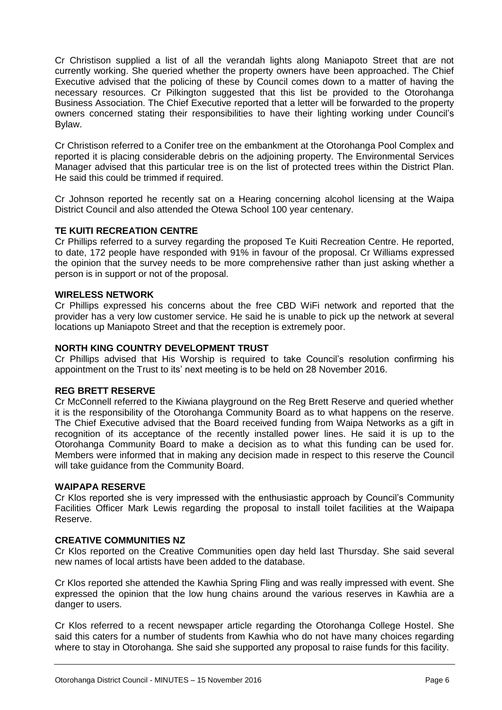Cr Christison supplied a list of all the verandah lights along Maniapoto Street that are not currently working. She queried whether the property owners have been approached. The Chief Executive advised that the policing of these by Council comes down to a matter of having the necessary resources. Cr Pilkington suggested that this list be provided to the Otorohanga Business Association. The Chief Executive reported that a letter will be forwarded to the property owners concerned stating their responsibilities to have their lighting working under Council's Bylaw.

Cr Christison referred to a Conifer tree on the embankment at the Otorohanga Pool Complex and reported it is placing considerable debris on the adjoining property. The Environmental Services Manager advised that this particular tree is on the list of protected trees within the District Plan. He said this could be trimmed if required.

Cr Johnson reported he recently sat on a Hearing concerning alcohol licensing at the Waipa District Council and also attended the Otewa School 100 year centenary.

# **TE KUITI RECREATION CENTRE**

Cr Phillips referred to a survey regarding the proposed Te Kuiti Recreation Centre. He reported, to date, 172 people have responded with 91% in favour of the proposal. Cr Williams expressed the opinion that the survey needs to be more comprehensive rather than just asking whether a person is in support or not of the proposal.

# **WIRELESS NETWORK**

Cr Phillips expressed his concerns about the free CBD WiFi network and reported that the provider has a very low customer service. He said he is unable to pick up the network at several locations up Maniapoto Street and that the reception is extremely poor.

# **NORTH KING COUNTRY DEVELOPMENT TRUST**

Cr Phillips advised that His Worship is required to take Council's resolution confirming his appointment on the Trust to its' next meeting is to be held on 28 November 2016.

# **REG BRETT RESERVE**

Cr McConnell referred to the Kiwiana playground on the Reg Brett Reserve and queried whether it is the responsibility of the Otorohanga Community Board as to what happens on the reserve. The Chief Executive advised that the Board received funding from Waipa Networks as a gift in recognition of its acceptance of the recently installed power lines. He said it is up to the Otorohanga Community Board to make a decision as to what this funding can be used for. Members were informed that in making any decision made in respect to this reserve the Council will take guidance from the Community Board.

# **WAIPAPA RESERVE**

Cr Klos reported she is very impressed with the enthusiastic approach by Council's Community Facilities Officer Mark Lewis regarding the proposal to install toilet facilities at the Waipapa Reserve.

# **CREATIVE COMMUNITIES NZ**

Cr Klos reported on the Creative Communities open day held last Thursday. She said several new names of local artists have been added to the database.

Cr Klos reported she attended the Kawhia Spring Fling and was really impressed with event. She expressed the opinion that the low hung chains around the various reserves in Kawhia are a danger to users.

Cr Klos referred to a recent newspaper article regarding the Otorohanga College Hostel. She said this caters for a number of students from Kawhia who do not have many choices regarding where to stay in Otorohanga. She said she supported any proposal to raise funds for this facility.